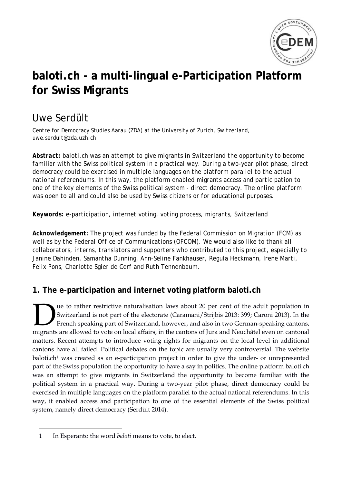

# **baloti.ch - a multi-lingual e-Participation Platform for Swiss Migrants**

## Uwe Serdült

*Centre for Democracy Studies Aarau (ZDA) at the University of Zurich, Switzerland, uwe.serdult@zda.uzh.ch*

*Abstract: baloti.ch was an attempt to give migrants in Switzerland the opportunity to become familiar with the Swiss political system in a practical way. During a two-year pilot phase, direct democracy could be exercised in multiple languages on the platform parallel to the actual national referendums. In this way, the platform enabled migrants access and participation to one of the key elements of the Swiss political system - direct democracy. The online platform was open to all and could also be used by Swiss citizens or for educational purposes.*

*Keywords: e-participation, internet voting, voting process, migrants, Switzerland*

*Acknowledgement: The project was funded by the Federal Commission on Migration (FCM) as well as by the Federal Office of Communications (OFCOM). We would also like to thank all collaborators, interns, translators and supporters who contributed to this project, especially to Janine Dahinden, Samantha Dunning, Ann-Seline Fankhauser, Regula Heckmann, Irene Marti, Felix Pons, Charlotte Sgier de Cerf and Ruth Tennenbaum.*

### **1. The e-participation and internet voting platform baloti.ch**

ue to rather restrictive naturalisation laws about 20 per cent of the adult population in Switzerland is not part of the electorate (Caramani/Strijbis 2013: 399; Caroni 2013). In the French speaking part of Switzerland, however, and also in two German-speaking cantons, **1980** Le to rather restrictive naturalisation laws about 20 per cent of the adult population in Switzerland is not part of the electorate (Caramani/Strijbis 2013: 399; Caroni 2013). In the French speaking part of Switzerl matters. Recent attempts to introduce voting rights for migrants on the local level in additional cantons have all failed. Political debates on the topic are usually very controversial. The website  $b$ aloti.ch<sup>[1](#page-0-0)</sup> was created as an e-participation project in order to give the under- or unrepresented part of the Swiss population the opportunity to have a say in politics. The online platform baloti.ch was an attempt to give migrants in Switzerland the opportunity to become familiar with the political system in a practical way. During a two-year pilot phase, direct democracy could be exercised in multiple languages on the platform parallel to the actual national referendums. In this way, it enabled access and participation to one of the essential elements of the Swiss political system, namely direct democracy (Serdült 2014).

 $\overline{a}$ 

<span id="page-0-0"></span><sup>1</sup> In Esperanto the word *baloti* means to vote, to elect.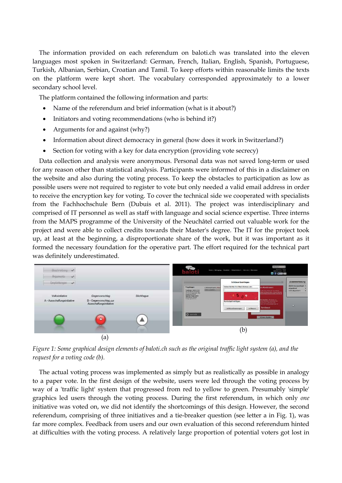The information provided on each referendum on baloti.ch was translated into the eleven languages most spoken in Switzerland: German, French, Italian, English, Spanish, Portuguese, Turkish, Albanian, Serbian, Croatian and Tamil. To keep efforts within reasonable limits the texts on the platform were kept short. The vocabulary corresponded approximately to a lower secondary school level.

The platform contained the following information and parts:

- Name of the referendum and brief information (what is it about?)
- Initiators and voting recommendations (who is behind it?)
- Arguments for and against (why?)
- Information about direct democracy in general (how does it work in Switzerland?)
- Section for voting with a key for data encryption (providing vote secrecy)

Data collection and analysis were anonymous. Personal data was not saved long-term or used for any reason other than statistical analysis. Participants were informed of this in a disclaimer on the website and also during the voting process. To keep the obstacles to participation as low as possible users were not required to register to vote but only needed a valid email address in order to receive the encryption key for voting. To cover the technical side we cooperated with specialists from the Fachhochschule Bern (Dubuis et al. 2011). The project was interdisciplinary and comprised of IT personnel as well as staff with language and social science expertise. Three interns from the MAPS programme of the University of the Neuchâtel carried out valuable work for the project and were able to collect credits towards their Master's degree. The IT for the project took up, at least at the beginning, a disproportionate share of the work, but it was important as it formed the necessary foundation for the operative part. The effort required for the technical part was definitely underestimated.



*Figure 1: Some graphical design elements of baloti.ch such as the original traffic light system (a), and the request for a voting code (b).*

The actual voting process was implemented as simply but as realistically as possible in analogy to a paper vote. In the first design of the website, users were led through the voting process by way of a 'traffic light' system that progressed from red to yellow to green. Presumably 'simple' graphics led users through the voting process. During the first referendum, in which only *one* initiative was voted on, we did not identify the shortcomings of this design. However, the second referendum, comprising of three initiatives and a tie-breaker question (see letter a in Fig. 1), was far more complex. Feedback from users and our own evaluation of this second referendum hinted at difficulties with the voting process. A relatively large proportion of potential voters got lost in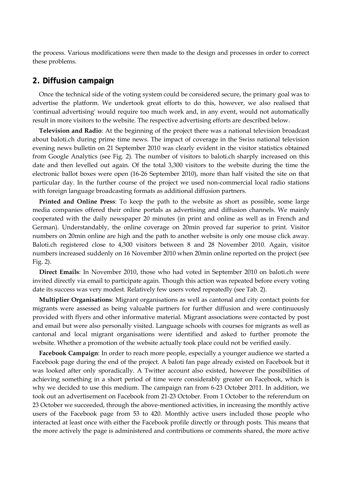the process. Various modifications were then made to the design and processes in order to correct these problems.

#### **2. Diffusion campaign**

Once the technical side of the voting system could be considered secure, the primary goal was to advertise the platform. We undertook great efforts to do this, however, we also realised that 'continual advertising' would require too much work and, in any event, would not automatically result in more visitors to the website. The respective advertising efforts are described below.

**Television and Radio**: At the beginning of the project there was a national television broadcast about baloti.ch during prime time news. The impact of coverage in the Swiss national television evening news bulletin on 21 September 2010 was clearly evident in the visitor statistics obtained from Google Analytics (see Fig. 2). The number of visitors to baloti.ch sharply increased on this date and then levelled out again. Of the total 3,300 visitors to the website during the time the electronic ballot boxes were open (16-26 September 2010), more than half visited the site on that particular day. In the further course of the project we used non-commercial local radio stations with foreign language broadcasting formats as additional diffusion partners.

**Printed and Online Press**: To keep the path to the website as short as possible, some large media companies offered their online portals as advertising and diffusion channels. We mainly cooperated with the daily newspaper 20 minutes (in print and online as well as in French and German). Understandably, the online coverage on 20min proved far superior to print. Visitor numbers on 20min online are high and the path to another website is only one mouse click away. Baloti.ch registered close to 4,300 visitors between 8 and 28 November 2010. Again, visitor numbers increased suddenly on 16 November 2010 when 20min online reported on the project (see Fig. 2).

**Direct Emails**: In November 2010, those who had voted in September 2010 on baloti.ch were invited directly via email to participate again. Though this action was repeated before every voting date its success was very modest. Relatively few users voted repeatedly (see Tab. 2).

**Multiplier Organisations**: Migrant organisations as well as cantonal and city contact points for migrants were assessed as being valuable partners for further diffusion and were continuously provided with flyers and other informative material. Migrant associations were contacted by post and email but were also personally visited. Language schools with courses for migrants as well as cantonal and local migrant organisations were identified and asked to further promote the website. Whether a promotion of the website actually took place could not be verified easily.

**Facebook Campaign**: In order to reach more people, especially a younger audience we started a Facebook page during the end of the project. A baloti fan page already existed on Facebook but it was looked after only sporadically. A Twitter account also existed, however the possibilities of achieving something in a short period of time were considerably greater on Facebook, which is why we decided to use this medium. The campaign ran from 6-23 October 2011. In addition, we took out an advertisement on Facebook from 21-23 October. From 1 October to the referendum on 23 October we succeeded, through the above-mentioned activities, in increasing the monthly active users of the Facebook page from 53 to 420. Monthly active users included those people who interacted at least once with either the Facebook profile directly or through posts. This means that the more actively the page is administered and contributions or comments shared, the more active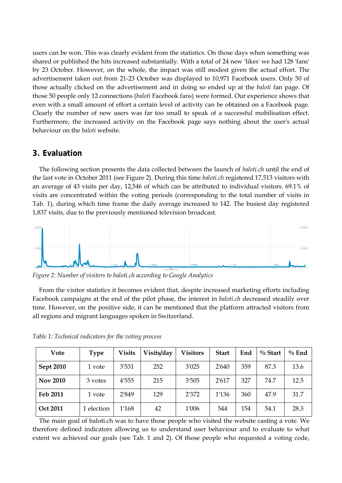users can be won. This was clearly evident from the statistics. On those days when something was shared or published the hits increased substantially. With a total of 24 new 'likes' we had 128 'fans' by 23 October. However, on the whole, the impact was still modest given the actual effort. The advertisement taken out from 21-23 October was displayed to 10,971 Facebook users. Only 50 of those actually clicked on the advertisement and in doing so ended up at the *baloti* fan page. Of those 50 people only 12 connections (*baloti* Facebook fans) were formed. Our experience shows that even with a small amount of effort a certain level of activity can be obtained on a Facebook page. Clearly the number of new users was far too small to speak of a successful mobilisation effect. Furthermore, the increased activity on the Facebook page says nothing about the user's actual behaviour on the *baloti* website.

#### **3. Evaluation**

The following section presents the data collected between the launch of *baloti.ch* until the end of the last vote in October 2011 (see Figure 2). During this time *baloti.ch* registered 17,513 visitors with an average of 43 visits per day, 12,546 of which can be attributed to individual visitors. 69.1% of visits are concentrated within the voting periods (corresponding to the total number of visits in Tab. 1), during which time frame the daily average increased to 142. The busiest day registered 1,837 visits, due to the previously mentioned television broadcast.



*Figure 2: Number of visitors to baloti.ch according to Google Analytics*

From the visitor statistics it becomes evident that, despite increased marketing efforts including Facebook campaigns at the end of the pilot phase, the interest in *baloti.ch* decreased steadily over time. However, on the positive side, it can be mentioned that the platform attracted visitors from all regions and migrant languages spoken in Switzerland.

| Vote             | <b>Type</b> | <b>Visits</b> | Visits/day | <b>Visitors</b> | <b>Start</b> | End | $\%$ Start | $\%$ End |
|------------------|-------------|---------------|------------|-----------------|--------------|-----|------------|----------|
| <b>Sept 2010</b> | 1 vote      | 3'531         | 252        | 3'025           | 2'640        | 359 | 87.3       | 13.6     |
| <b>Nov 2010</b>  | 3 votes     | 4'555         | 215        | 3'505           | 2'617        | 327 | 74.7       | 12.5     |
| Feb 2011         | 1 vote      | 2'849         | 129        | 2'372           | 1'136        | 360 | 47.9       | 31.7     |
| Oct 2011         | 1 election  | 1'168         | 42         | 1'006           | 544          | 154 | 54.1       | 28.3     |

*Table 1: Technical indicators for the voting process*

The main goal of baloti.ch was to have those people who visited the website casting a vote. We therefore defined indicators allowing us to understand user behaviour and to evaluate to what extent we achieved our goals (see Tab. 1 and 2). Of those people who requested a voting code,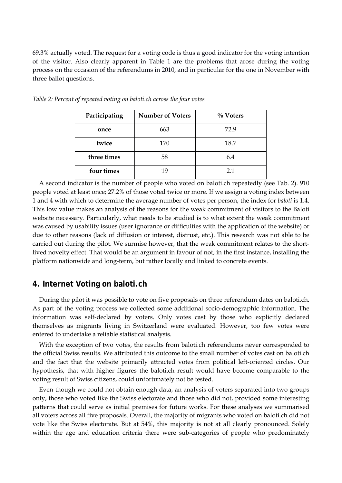69.3% actually voted. The request for a voting code is thus a good indicator for the voting intention of the visitor. Also clearly apparent in Table 1 are the problems that arose during the voting process on the occasion of the referendums in 2010, and in particular for the one in November with three ballot questions.

| Participating | <b>Number of Voters</b> | $\%$ Voters |  |  |
|---------------|-------------------------|-------------|--|--|
| once          | 663                     | 72.9        |  |  |
| twice         | 170                     | 18.7        |  |  |
| three times   | 58                      | 6.4         |  |  |
| four times    | 19                      | 21          |  |  |

*Table 2: Percent of repeated voting on baloti.ch across the four votes*

A second indicator is the number of people who voted on baloti.ch repeatedly (see Tab. 2). 910 people voted at least once; 27.2% of those voted twice or more. If we assign a voting index between 1 and 4 with which to determine the average number of votes per person, the index for *baloti* is 1.4. This low value makes an analysis of the reasons for the weak commitment of visitors to the Baloti website necessary. Particularly, what needs to be studied is to what extent the weak commitment was caused by usability issues (user ignorance or difficulties with the application of the website) or due to other reasons (lack of diffusion or interest, distrust, etc.). This research was not able to be carried out during the pilot. We surmise however, that the weak commitment relates to the shortlived novelty effect. That would be an argument in favour of not, in the first instance, installing the platform nationwide and long-term, but rather locally and linked to concrete events.

#### **4. Internet Voting on baloti.ch**

During the pilot it was possible to vote on five proposals on three referendum dates on baloti.ch. As part of the voting process we collected some additional socio-demographic information. The information was self-declared by voters. Only votes cast by those who explicitly declared themselves as migrants living in Switzerland were evaluated. However, too few votes were entered to undertake a reliable statistical analysis.

With the exception of two votes, the results from baloti.ch referendums never corresponded to the official Swiss results. We attributed this outcome to the small number of votes cast on baloti.ch and the fact that the website primarily attracted votes from political left-oriented circles. Our hypothesis, that with higher figures the baloti.ch result would have become comparable to the voting result of Swiss citizens, could unfortunately not be tested.

Even though we could not obtain enough data, an analysis of voters separated into two groups only, those who voted like the Swiss electorate and those who did not, provided some interesting patterns that could serve as initial premises for future works. For these analyses we summarised all voters across all five proposals. Overall, the majority of migrants who voted on baloti.ch did not vote like the Swiss electorate. But at 54%, this majority is not at all clearly pronounced. Solely within the age and education criteria there were sub-categories of people who predominately